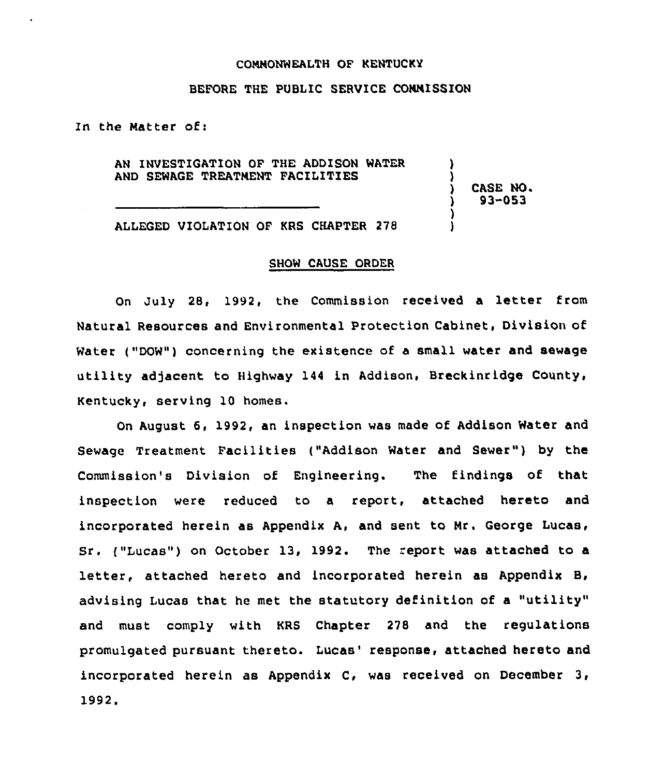#### CONNONWEALTH OF KENTUCKY

## BEFORE THE PUBLIC SERVICE CONNISSION

In the Natter of:

AN INVESTIGATION OF THE ADDISON WATER AND SEWAGE TREATMENT FACILITIES

) CASE NO.<br>) 93-053 ) 93-053

) )

) )

ALLEGED VIOLATION OF KRS CHAPTER 278

### SHOW CAUSE ORDER

On July 28, 1992, the Commission received a letter from Natural Resources and Environmental Protection Cabinet, Division of Water ("DOW") concerning the existence of a small water and sewage utility adjacent to Highway 144 in Addison, Breckinridge County, Kentucky, serving 10 homes.

On August 6, 1992, an inspection was made of Addison Water and Sewage Treatment Facilities ("Addison Water and Sewer") by the Commission's Division of Engineering. The findings of that inspection were reduced to a report, attached hereto and incorporated herein as Appendix A, and sent to Mr. George Lucas, Sr. ("Lucas") on October 13, 1992. The report was attached to a letter, attached hereto and incorporated herein as Appendix B, advising Lucas that he met the statutory definition of a "utility" and must comply with KRS Chapter 278 and the regulations promulgated pursuant thereto. Lucas' response, attached hereto and incorporated herein as Appendix C, was received on December 3, 1992.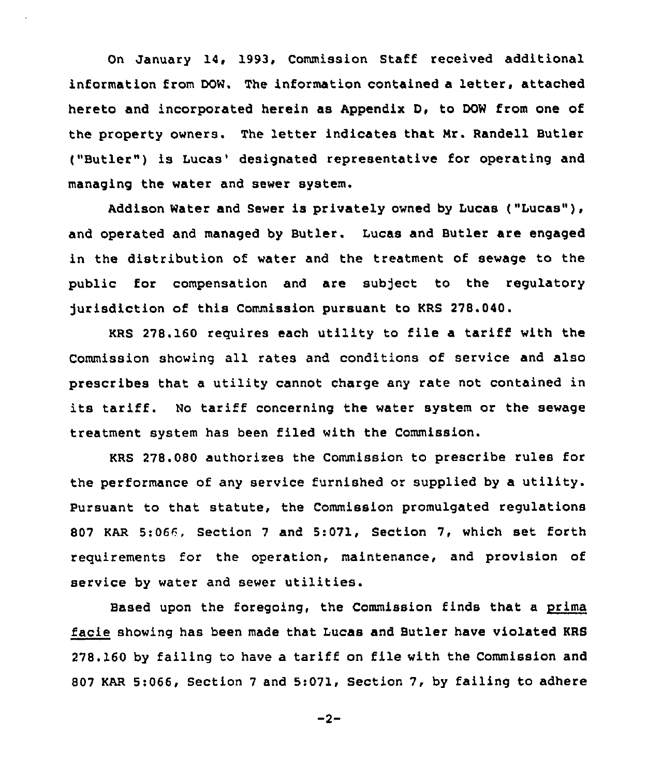On January 14, 1993. Commission Staff received additional information from DOW. The information contained a letter, attached hereto and incorporated herein as Appendix D, to DOW from one of the property owners. The letter indicates that Nr. Randell Butler ("Butler") is Lucas' designated representative for operating and managing the water and sewer system.

Addison Water and Sewer is privately owned by Lucas ("Lucas"), and operated and managed by Butler. Lucas and Butler are engaged in the distribution of water and the treatment of sewage to the public for compensation and are sub)ect to the regulatory jurisdiction of this Commission pursuant to KRS 278.040.

KRS 278.160 requires each utility to file <sup>a</sup> tariff with the Commission showing all rates and conditions of service and also prescribes that a utility cannot charge any rate not contained in its tariff. No tariff concerning the water system or the sewage treatment system has been filed with the Commission.

KRS 278.080 authorizes the Commission to prescribe rules for the performance of any service furnished or supplied by a utility. Pursuant to that statute, the Commission promulgated regulations 807 KAR 5:066, Section <sup>7</sup> and 5:071, Section 7, which set forth requirements for the operation, maintenance, and provision of service by water and sewer utilities.

Based upon the foregoing, the Commission finds that a prima facie showing has been made that Lucas and Butler have violated KRS 278. 160 by failing to have a tariff on file with the Commission and 807 KAR 5:066, Section <sup>7</sup> and 5:071, Section 7, by failing to adhere

 $-2-$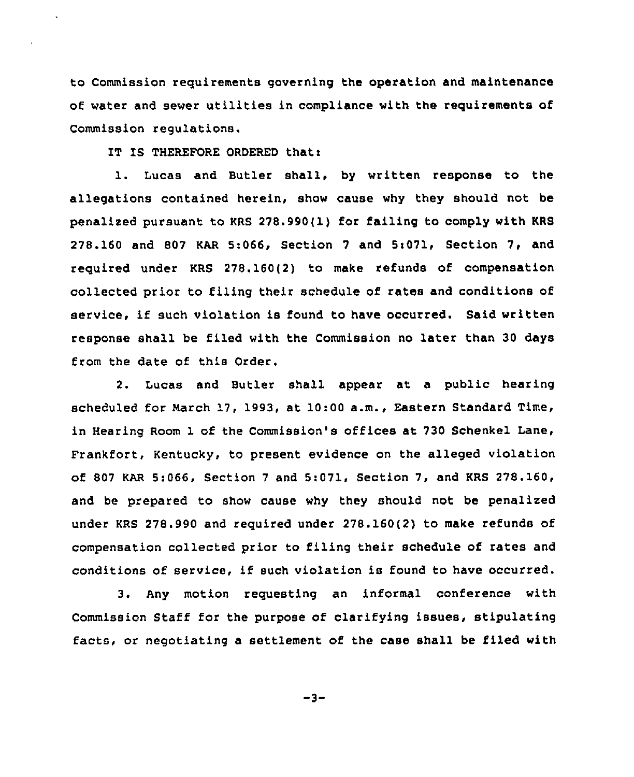to Commission requirements governing the operation and maintenance of water and sewer utilities in compliance with the requirements of Commission regulations.

IT IS THEREFORE ORDERED that:

l. Lucas and Butler shall, by written response to the allegations contained herein, show cause why they should not be penalized pursuant to KRS 278.990(1) for failing to comply with KRS 278.160 and 807 KAR 5:066, Section <sup>7</sup> and 5i071, Section 7, and required under KRS 278.160(2) to make refunds of compensation collected prior to filing their schedule of rates and conditions of service, if such violation is found to have occurred. Said written response shall be filed with the Commission no later than 30 days from the date of this Order.

2. Lucas and Butler shall appear at a public hearing scheduled for March 17, 1993, at 10:00 a.m., Eastern Standard Time, in Hearing Room 1 of the Commission's offices at 730 Schenkel Lane, Frankfort, Kentucky, to present evidence on the alleged violation of 807 KAR 5:066, Section <sup>7</sup> and 5:071, Section 7, and KRS 278.160, and be prepared to show cause why they should not be penalized under KRS 278.990 and required under 278.160(2) to make refunds of compensation collected prior to filing their schedule of rates and conditions of service, if such violation is found to have occurred.

3. Any motion requesting an informal conference with Commission Staff for the purpose of clarifying issues, stipulating facts, or negotiating a settlement of the case shall be filed with

 $-3-$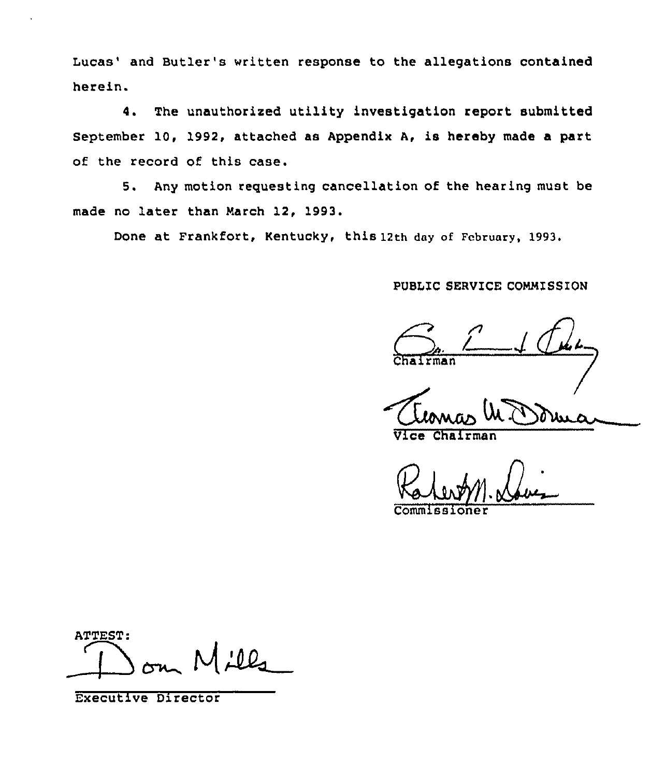Lucas' and Butler's written response to the allegations contained herein.

4. The unauthorized utility investigation report submitted September 10, 1992, attached as Appendix A, is hereby made a part of the record of this case.

5. Any motion reguesting cancellation of the hearing must be made no later than March 12, 1993.

Done at Frankfort, Kentucky, this 12th day of February, 1993.

## PVBLIC SERVICE COMMISSION

**Chairma** 

Vice Chairman

Commiss

ATTEST:

Executive Director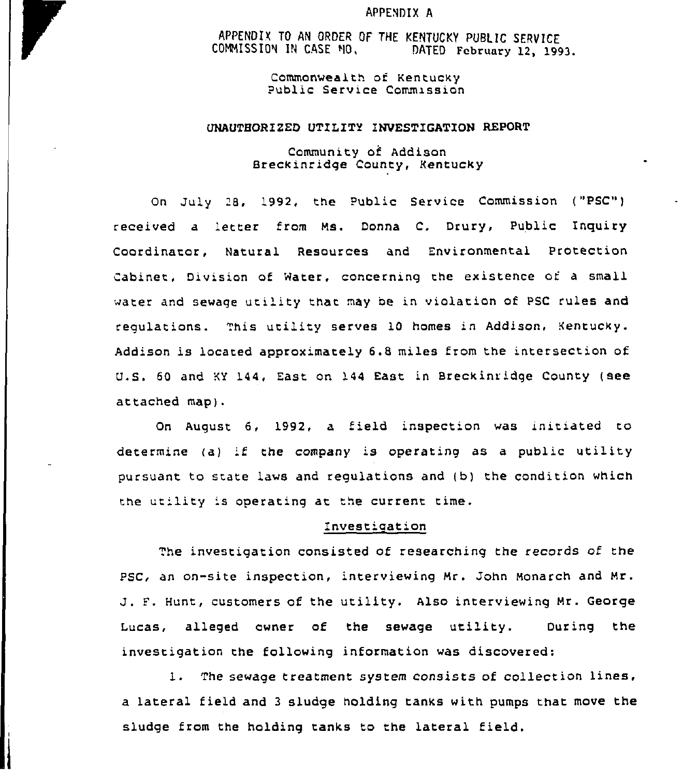#### APPENDIX A

APPENDIX TO AN ORDER OF THE KENTUCKY PUBLIC SERVICE COMMISSION IN CASE MO. DATED February 12, 1993.

> Commonwealth of Kentucky Public Service Commission

#### UNAUTHORIZED UTILITY INVESTIGATION REPORT

Community of Addison Breckinridqe County, Kentucky

Qn July 28, 1992, the Public Service Commission ("PSC") received a 'etter from Ms. Donna C. Drury, Public Inquiry Coordinator, Natural Resources and Environmental Protection Cabinet, Division of Water, concerninq the existence of a small water and sewage utility that may be in violation of PSC rules and regulations. This utility serves 10 homes in Addison, Kentucky. Addison is located approximately 6.8 miles from the intersection of U.S. 60 and KY 144, East. on 144 East in Breckinridge County (see attached map).

On August 6, 1992, a field inspection was initiated to determine (a) if the company is operating as a public utility pursuant to srate laws and regulations and (b) the condition which the utility is operating at the current time.

#### Investigation

The invesrigation consisted of researching the records of the PSC, an on-site inspection, interviewing Mr. John Monarch and Mr. J. F. Hunt, customers of the utility. Also interviewing Mr. George Lucas, alleged owner of the sewage utility. During the investigation the followinq information was discovered:

1. The sewage treatment system consists of collection lines, a lateral field and <sup>3</sup> sludge holding tanks with pumps that move the sludge from the holding tanks to the lateral field.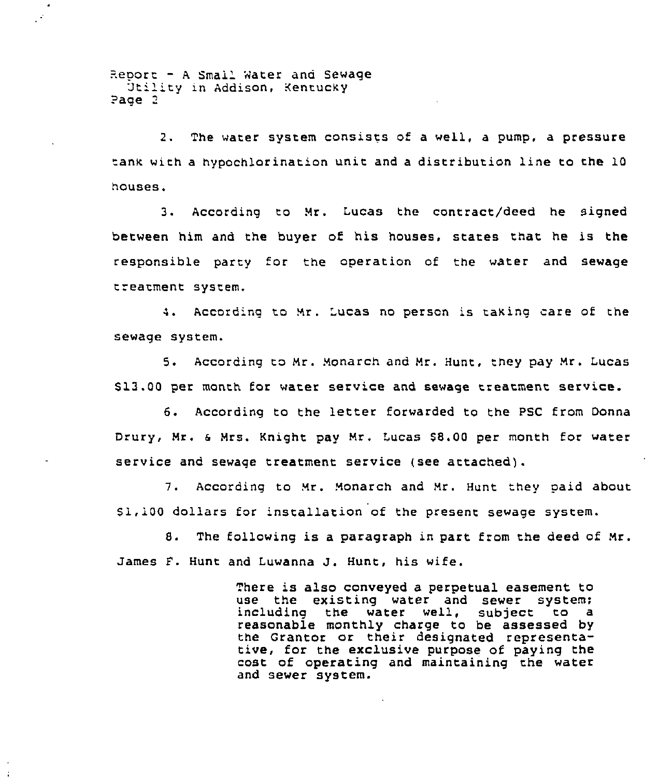Report - A Smail Water and Sewage<br>Utility in Addison, Kentucky Page 3

2. The water system consists of a well, a pump, a pressure tank with a hypochlorination unit and a distribution line to the 10 houses.

3. Accordinq to Mr. Lucas the contract/deed he signed between him and the buyer of his houses, stares that he is the responsible party for the operation of the water and sewage treatment system.

4. According to Mr. Lucas no person is taking care of the sewage system.

5. According to Mr. Monarch and Mr. Hunt, they pay Mr. Lucas \$ 13.00 per month for water service and sewage treatment service.

6. According to the letter forwarded to the PSC from Donna Drury, Mr. & Mrs. Knight pay Mr. Lucas \$8.00 per month for water service and sewaqe treatment service (see attached).

7. Accoraing to Mr. Monarch and Mr. Hunt they oaid about \$ 1,100 dollars for installation of the present sewage system.

8. The following is a paragraph in part from the deed of Mr. James f. Hunt and Luwanna J. Hunt, his wife.

> There is also conveyed a perpetual easement to use the existing water and sewer system;<br>including the water well, subject to a water well, subject to reasonable monthly charge to be assessed by the Grantor or their designated representative, for the exclusive purpose of paying the cost of opezatinq and maintaining the water and sewer system.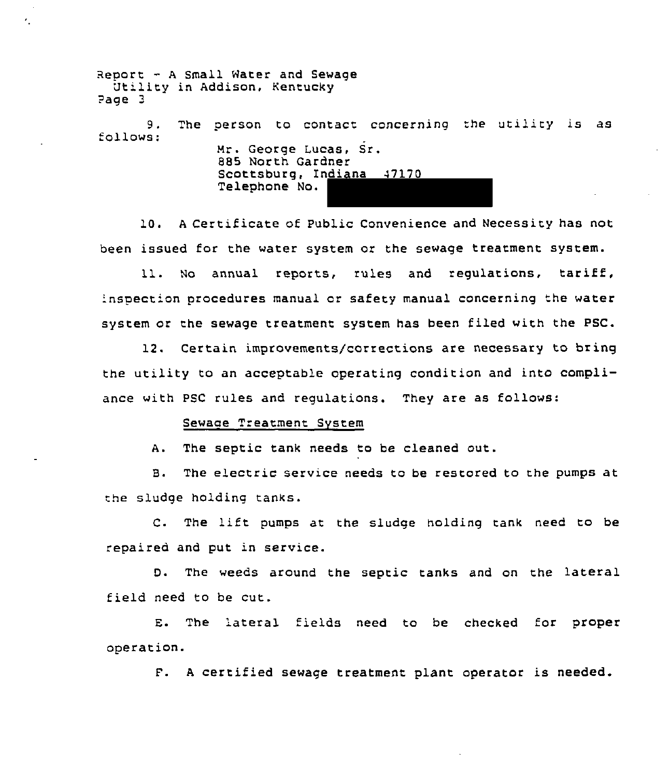Report - <sup>A</sup> Small Water and Sewage Utility in Addison, Kentucky ?age <sup>3</sup> 9. follows: The person to contact concerning the utility is as Mr. George Lucas, Sr. 885 North Gardner Scottsburg, Indiana 47170 Telephone No.

10. <sup>A</sup> Certificate of Public Convenience and Necessity has not been issued for the water system or the sewage treatment system.

11. No annual reports, rules and regulations, tariff, 'nspection procedures manual or safety manual concerning the water system or the sewage treatment system has been filed with the PSC.

12. Certain improvements/corrections are necessary to bring the utility to an acceptable operating condition and into compliance with PSC rules and regulations. They are as follows:

### Sewaae Treatment System

k,

A. The septic tank needs to be cleaned out.

B. The electric service needs to be restored to the pumps at the sludge holding tanks.

C. The lift pumps at the sludge holding tank need to be repaired and put in service.

D. The weeds around the septic tanks and on the lateral field need to be cut.

E. The 'ateral fields need to be checked for proper operation.

F. <sup>A</sup> certified sewage treatment plant operator is needed.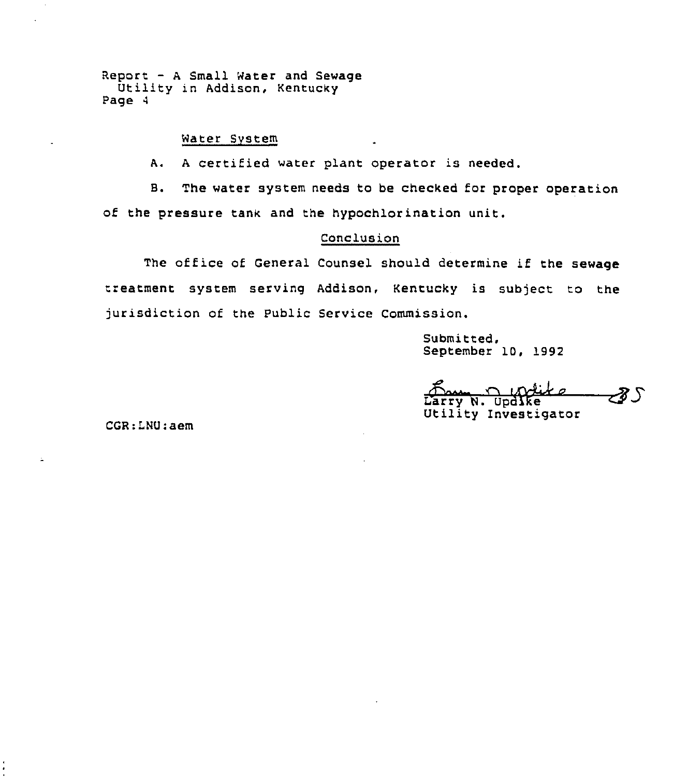Report — <sup>A</sup> Small Water and Sewage Utility in Addison, Kentucky Page 4

# Water System

A. <sup>A</sup> certified water plant operaror is needed.

B. The water system needs to be checked for proper operation of the pressure tank and the hypochlorination unit.

## Conclusion

The office of General Counsel should determine if the sewage treatment system serving Addison, Kentucky is subject to the jurisdiction of the public Service Commission.

> Submitted, September 10, 1992

c Comment Colifs<br>Larry N. Updike<br>Utility Investigator るし

CGR:LNU:aem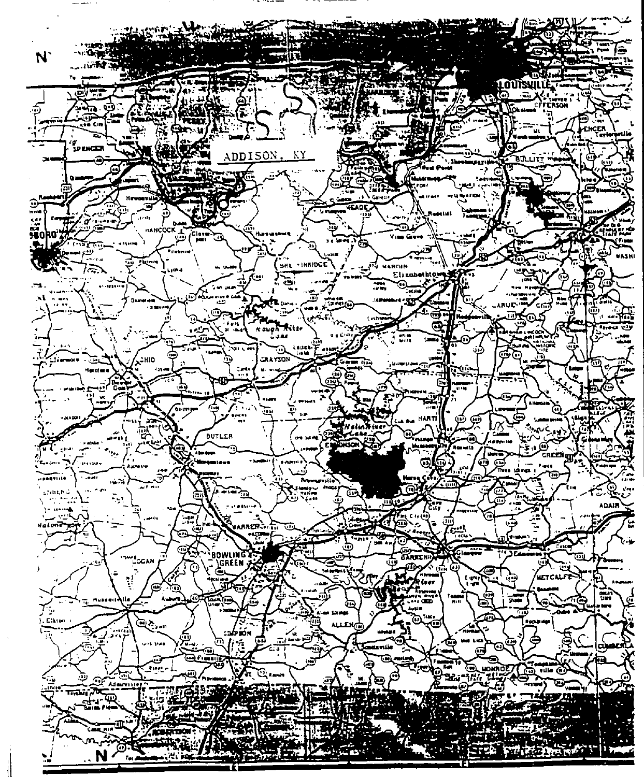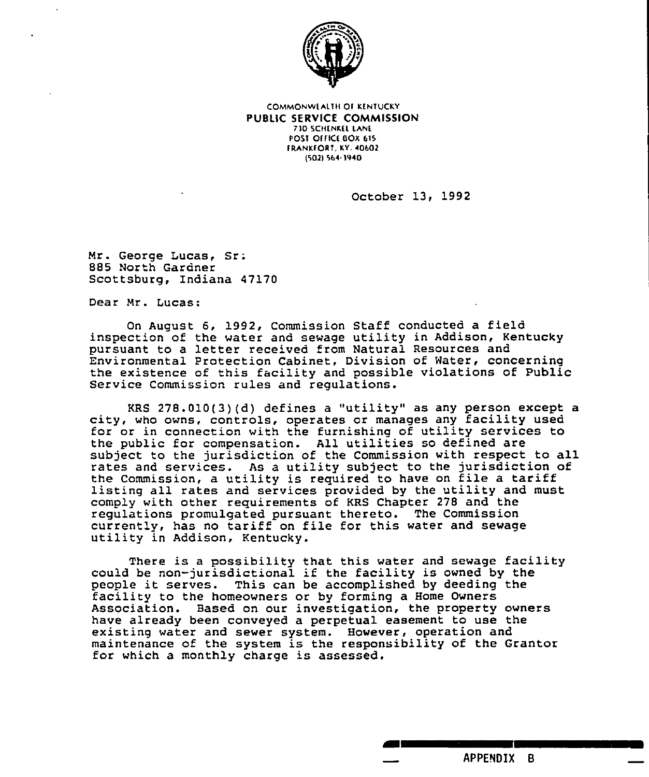

COMMONWEALTH Of KENTUCKY PUBLIC SERVICE COMMISSION 710 SCHENKEL LANE POST OFFICE BOX 615 **FRANKFORT, KY. 40602** (f021 se< 1940

October 13, 1992

Mr. George Lucas, Sr; 885 North Gardner Scottsburg, Indiana 47170

Dear Mr. lucas:

On August 6, 1992, Commission Staff conducted a field inspection of the water and sewage utility in Addison, Kentucky pursuant to a letter received from Natural Resources and Environmental Protection Cabinet, Division of Water, concerning the existence of this facility and possible violations of Public Service Commission rules and regulations.

KRS 278.010(3)(d) defines <sup>a</sup> "utility" as any person except a city, who owns, controls, operates or manages any facility used for or in connection with the furnishing of utility services to the public for compensation. All utilities so defined are subject to the jurisdiction of the Commission with respect to all rates and services. As a utility subject to the jurisdiction of<br>the Commission, a utility is required to have on file a tariff listing all rates and services provided by the utility and must comply with other requirements of KRS Chapter 278 and the regulations promulgated pursuant thereto. The Commission currently, has no tariff on file for this water and sewage utility in Addison, Kentucky.

There is <sup>a</sup> possibility that this water and sewage facility could be non-jurisdictional if the facility is owned by the people it serves. This can be accomplished by deeding the facility to the homeowners or by forming <sup>a</sup> Home Owners Association. Based on our investigation, the property owners have already been conveyed a perpetual easement to use the existing water and sewer system. However, operation and maintenance of the system is the responsibility of the Grantor for which a monthly charge is assessed.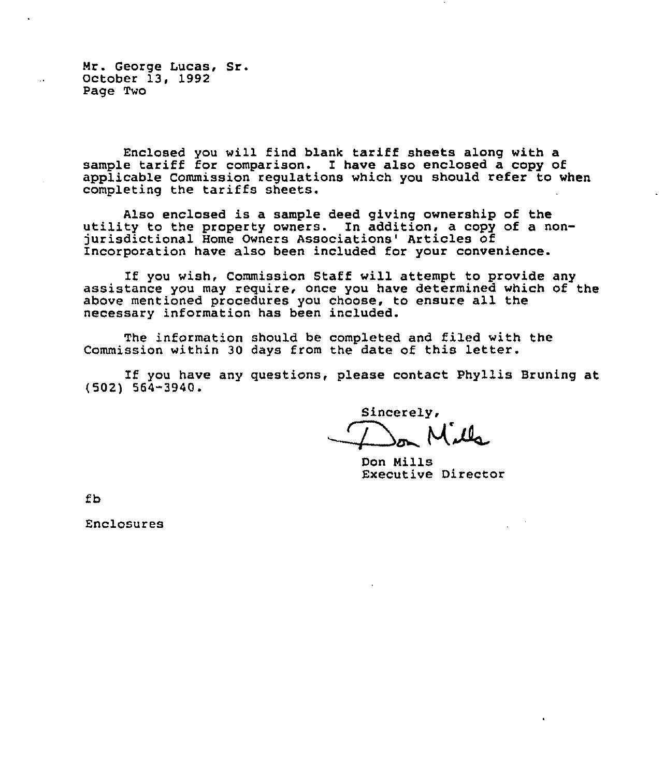Mr. George Lucas, Sr. October 13, 1992 Page Two

Enclosed you will find blank tariff sheets along with a sample tariff for comparison. I have also enclosed a copy of applicable Commission regulations which you should refer to when completing the tariffs sheets.

Also enclosed is a sample deed giving ownership of the<br>utility to the property owners. In addition, a copy of a nonjurisdictional Home Owners Associations' Articles of Incorporation have also been included for your convenience.

If you wish, Commission Staff will attempt to provide any assistance you may require, once you have determined which of the above mentioned procedures you choose, to ensure all the necessary information has been included.

The information should be completed and filed with the Commission within 30 days from the date of this letter.

If you have any questions, please contact Phyllis Bruning at<br>
(502) 564-3940.<br>
Sincerely,

Don Mills Executive Director

fb

Enclosures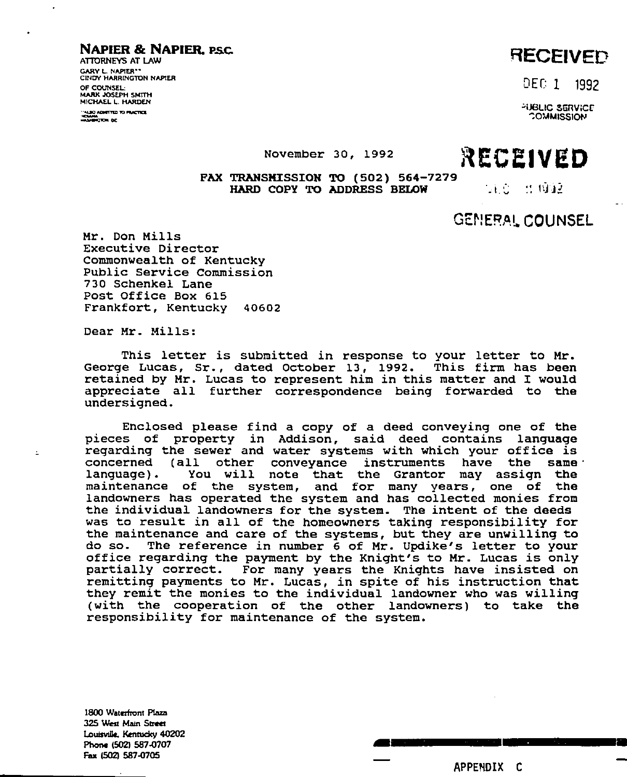## NAPIER & NAPIER. PSC.

ATTORNEYS AT LAW GARY L NAPIER" CRIOY HARRINGTON NAPIER OF COUNSEL MARK JOSEPH SMITH MICHAEL L. HARDEN

# RECEIVED

DEC 1 1992

**SERVICE COMMISSION** 

November 30, 1992 RECEIVED

# FAX TRANSMISSION TO (502) 564-7279 HARD COPY TO ADDRESS BELOW

 $1.0$   $\pm$  0.032

# GEMERAL COUNSEL

Mr. Don Mills Executive Director Commonwealth of Kentucky Public Service Commission 730 Schenkel Lane Post Office Box 615 Frankfort, Kentucky 40602

Dear Mr. Mills:

 $\pm$ 

This letter is submitted in response to your letter to Mr. George Lucas, Sr., dated October 13, 1992. This firm has been retained by Mr. Lucas to represent him in this matter and I would appreciate all further correspondence being forwarded to the undersigned.

Enclosed please find a copy of a deed conveying one of the pieces of property in Addison, said deed contains language regarding the sewer and water systems with which your office is concerned (all other conveyance instruments have the same<br>language). You will note that the Grantor may assign the You will note that the Grantor may assign the maintenance of the system, and for many years, one of the landowners has operated the system and has collected monies from the individual landowners for the system. The intent of the deeds was to result in all of the homeowners taking responsibility for the maintenance and care of the systems, but they are unwilling to do so. The reference in number <sup>6</sup> of Mr. Updike's letter to your office regarding the payment by the Knight's to Mr. Lucas is only partially correct. For many years the Knights have insisted on remitting payments to Mr. Lucas, in spite of his instruction that they remit the monies to the individual landowner who was willing (with the cooperation of the other landowners) to take the responsibility for maintenance of the system.

1800 Waterfront Plaza 325 West Main Street Louisville, Kentucky 40202 Phone (502) 587-0707 Fax (502) 587-0705

APPENDIX C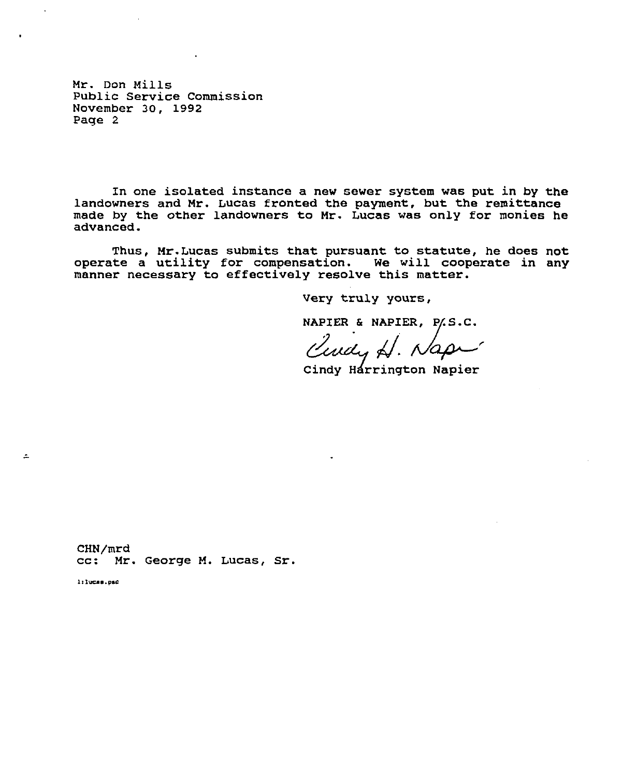Mr. Don Mills Public Service Commission November 30, 1992 Page 2

In one isolated instance a new sewer system was put in by the landowners and Mr. Lucas fronted the payment, but the remittance made by the other landowners to Mr. Lucas was only for monies he advanced.

Thus, Mr.Lucas submits that pursuant to statute, he does not operate a utility for compensation. we will cooperate in any manner necessary to effectively resolve this matter.

Very truly yours,

NAPIER & NAPIER, P.S.C.

Cindy Harrington Napier

CHN/mrd cc: Mr. George M. Lucas, Sr.

l:lucas.psc

 $\overline{a}$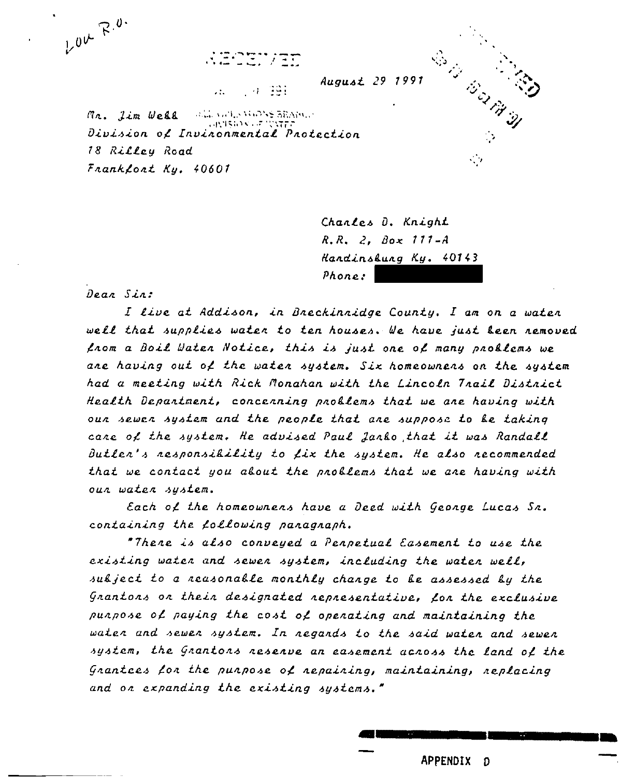$\mathbb{R} \rightarrow \mathbb{R}$ 



- 4-391

Mr. Jim Well with who was BRAIN. (代1540×44) Division of Invinonmental Protection 18 Rilley Road  $Frankfloat$  Ky, 40601

> Chanles D. Knight  $R$ ,  $R$ ,  $2$ ,  $B$ ox 111- $A$ Handinsbung Ky. 40143  $Phone:$

Dear Sin:

LOK R.O.

I live at Addison, in Breckinnidge County. I am on a water well that supplies water to ten houses. We have just been removed from a Boil Water Notice, this is just one of many problems we ane having out of the waten system. Six homeownens on the system had a meeting with Rick Monahan with the Lincoln Trail District Health Department, concerning problems that we are having with our sewer system and the people that are suppose to be taking care of the system. He advised Paul Janko that it was Randall Butler's responsibility to fix the system. He also recommended that we contact you about the problems that we are having with our water system.

Each of the homeownens have a Deed with George Lucas Sr. containing the following panagnaph.

"There is also conveyed a Perpetual Easement to use the existing water and sewer system, including the water well, subject to a reasonable monthly change to be assessed by the Grantors or their designated representative, for the exclusive punpose of paying the cost of openating and maintaining the water and sewer system. In regands to the said water and sewer system, the Grantors reserve an easement across the land of the Grantces for the purpose of repairing, maintaining, replacing and on expanding the existing systems."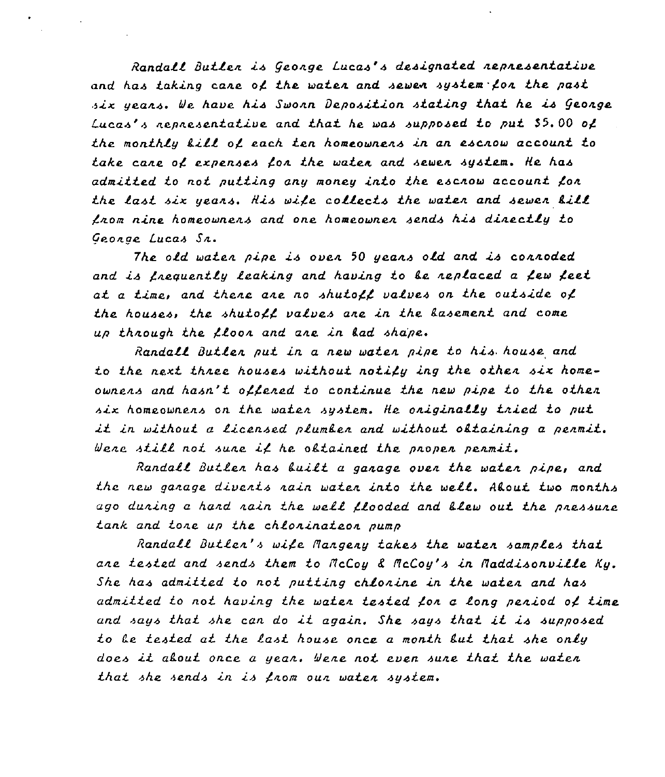Randatt Duklen is //conge Lucas's designaked nepnesenkative and has taking cane of the waten and sewen system fon the past six years. We have his Swonn Deposition stating that he is George Lucas's nepnesentative and that he was supposed to put \$5.00 of the monthly kill of each ten homeownens in an escnow account to take cane of expenses fon the waten and sewen system. He has admitted to not putting any money into the escnow account for the last six years. His wife collects the water and sewer kill  $f$ nom nine homeownens and one homeownen sends his dinectly to George Lucas Sn.

The otd wakan. pipe is oven <sup>50</sup> yeans otd and is connoded and is frequently leaking and having to be replaced a few feet at a time, and thene are no shutoff valves on the outside of the houses, the shutoff valves ane in the lasement and come up through the  $f$ loor and are in lad shape.

Randall Butler put in a new water pipe to his house and to the next three houses without notify ing the other six homeownens and hasn't offened to continue the new pipe to the other six homeownens on the water system. He originally tried to put it in without a licensed plumber and without obtaining a permit. Were still not sure if he obtained the proper permit.

Randall Butler has built a garage over the water pipe, and the new garage diverts rain water into the well. About two months ago duning a hand nain the well flooded and blew out the pressure tank and tore up the chlorinateor pump

Randall Butlen's wife Mangeny takes the waten samples that ane tested and sends them to  $McCoy$  &  $McCoy's$  in  $Maddisonville$  Ky. She has admitted to not putting chlonine in the waten and has admitted to nok having the maken tested /on a tong peniod ot time and says khak she can do ik again. She says khak it. is supposed to Le tested at the last house once a month but that she only does it akout once a year. Were not even sure that the water that she sends in is from our water system.